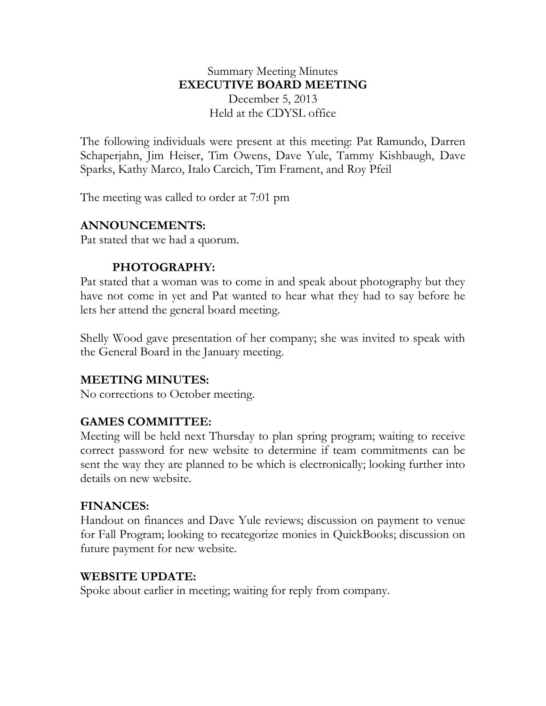### Summary Meeting Minutes **EXECUTIVE BOARD MEETING** December 5, 2013 Held at the CDYSL office

The following individuals were present at this meeting: Pat Ramundo, Darren Schaperjahn, Jim Heiser, Tim Owens, Dave Yule, Tammy Kishbaugh, Dave Sparks, Kathy Marco, Italo Carcich, Tim Frament, and Roy Pfeil

The meeting was called to order at 7:01 pm

#### **ANNOUNCEMENTS:**

Pat stated that we had a quorum.

## **PHOTOGRAPHY:**

Pat stated that a woman was to come in and speak about photography but they have not come in yet and Pat wanted to hear what they had to say before he lets her attend the general board meeting.

Shelly Wood gave presentation of her company; she was invited to speak with the General Board in the January meeting.

# **MEETING MINUTES:**

No corrections to October meeting.

### **GAMES COMMITTEE:**

Meeting will be held next Thursday to plan spring program; waiting to receive correct password for new website to determine if team commitments can be sent the way they are planned to be which is electronically; looking further into details on new website.

### **FINANCES:**

Handout on finances and Dave Yule reviews; discussion on payment to venue for Fall Program; looking to recategorize monies in QuickBooks; discussion on future payment for new website.

#### **WEBSITE UPDATE:**

Spoke about earlier in meeting; waiting for reply from company.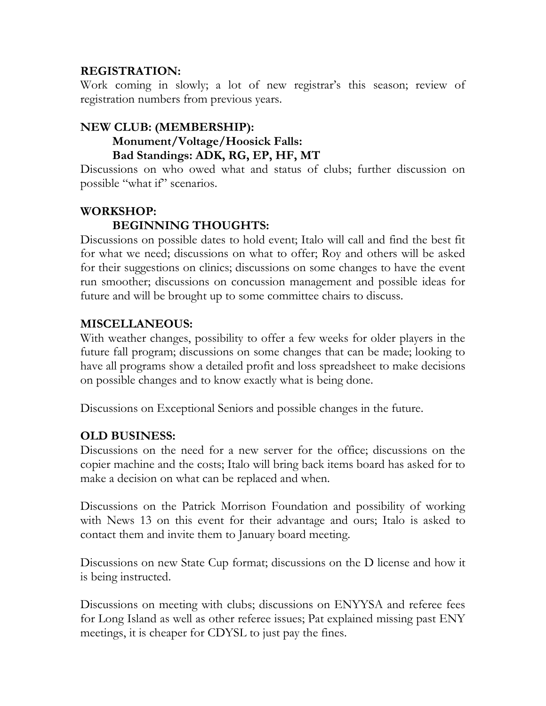### **REGISTRATION:**

Work coming in slowly; a lot of new registrar's this season; review of registration numbers from previous years.

### **NEW CLUB: (MEMBERSHIP): Monument/Voltage/Hoosick Falls: Bad Standings: ADK, RG, EP, HF, MT**

Discussions on who owed what and status of clubs; further discussion on possible "what if" scenarios.

## **WORKSHOP:**

## **BEGINNING THOUGHTS:**

Discussions on possible dates to hold event; Italo will call and find the best fit for what we need; discussions on what to offer; Roy and others will be asked for their suggestions on clinics; discussions on some changes to have the event run smoother; discussions on concussion management and possible ideas for future and will be brought up to some committee chairs to discuss.

### **MISCELLANEOUS:**

With weather changes, possibility to offer a few weeks for older players in the future fall program; discussions on some changes that can be made; looking to have all programs show a detailed profit and loss spreadsheet to make decisions on possible changes and to know exactly what is being done.

Discussions on Exceptional Seniors and possible changes in the future.

### **OLD BUSINESS:**

Discussions on the need for a new server for the office; discussions on the copier machine and the costs; Italo will bring back items board has asked for to make a decision on what can be replaced and when.

Discussions on the Patrick Morrison Foundation and possibility of working with News 13 on this event for their advantage and ours; Italo is asked to contact them and invite them to January board meeting.

Discussions on new State Cup format; discussions on the D license and how it is being instructed.

Discussions on meeting with clubs; discussions on ENYYSA and referee fees for Long Island as well as other referee issues; Pat explained missing past ENY meetings, it is cheaper for CDYSL to just pay the fines.